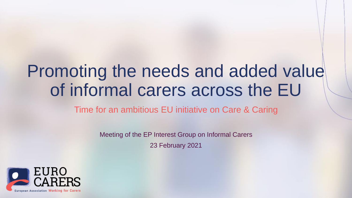### Promoting the needs and added value of informal carers across the EU

Time for an ambitious EU initiative on Care & Caring

Meeting of the EP Interest Group on Informal Carers

23 February 2021

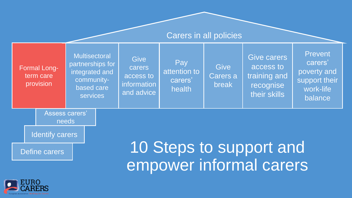

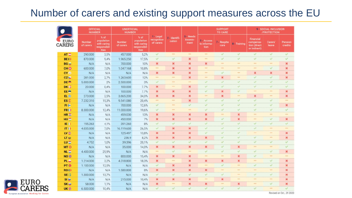### Number of carers and existing support measures across the EU

|                 | <b>OFFICIAL</b><br><b>NUMBER</b> |                                                                          | <b>UNOFFICIAL</b><br><b>NUMBER</b> |                                                                   |                                            |                         |                                     | <b>SUPPORT</b><br><b>TO CARE</b> |                     |                           | 9 - SOCIAL INCLUSION<br>/PROTECTION                    |                          |                    |
|-----------------|----------------------------------|--------------------------------------------------------------------------|------------------------------------|-------------------------------------------------------------------|--------------------------------------------|-------------------------|-------------------------------------|----------------------------------|---------------------|---------------------------|--------------------------------------------------------|--------------------------|--------------------|
| EURO<br>CARERS  | Number<br>of carers              | % of<br>population<br>with caring<br><b>responsibil-</b><br><b>ities</b> | Number<br>of carers                | % of<br>population<br>with caring<br>responsibil-<br><b>ities</b> | <b>1</b> Legal<br>recognition<br>of carers | 2 - Identifi-<br>cation | <b>3 - Needs</b><br>Assess-<br>ment | 5 Access<br>to informa-<br>tion  | 7 - Respite<br>care | 8 Training                | Financial<br>compensa-<br>tion (direct<br>or indirect) | <b>Carers</b><br>leave   | Pension<br>credits |
| $AT =$          | 290,000                          | 3,5%                                                                     | 457.000                            | 5,2%                                                              | v                                          | 100                     | 112                                 | 198                              | $\checkmark$        | $\mathcal{A}$             | $\checkmark$                                           | $\mathcal{A}$            | $\mathcal{A}$      |
| <b>BE ()</b>    | 870.000                          | 9,4%                                                                     | 1.965.250                          | 17,5%                                                             | Ψ                                          | $\checkmark$            | ×                                   | new.                             | v                   | $\mathcal{A}$             | s.                                                     | Q                        | $\checkmark$       |
| $BG =$          | N/A                              | N/A                                                                      | 700.000                            | 10%                                                               | ×                                          | ×                       | ×                                   | ×                                | 122                 | 111                       | 100                                                    | 111                      | ×                  |
| CH O            | 600.000                          | 7,0%                                                                     | 1.047.168                          | 10,8%                                                             | <b>ERR</b>                                 | ×                       | ×                                   | <b>ARE</b>                       | <b>AME</b>          | 12.1                      | 100                                                    | $\checkmark$             | $\mathbf x$        |
| CY <sub>®</sub> | N/A                              | N/A                                                                      | N/A                                | N/A                                                               | ×                                          | ×                       | ×                                   | <b>FEE</b>                       | v                   | 111                       | ×                                                      | $\pmb{\times}$           | ×                  |
| CZ to           | 281.000                          | 2,7%                                                                     | 1.263.600                          | 12%                                                               | 122                                        | 144                     | ×                                   | <b>AVE</b>                       | ×                   | 122                       | v                                                      | $\checkmark$             | ×                  |
| DE <sup>®</sup> | 5.000.000                        | 2%                                                                       | 2.500.000                          | 3%                                                                | $\checkmark$                               | $\sim$                  | <b>ARK</b>                          | ✓                                | s                   | $\checkmark$              | v                                                      | V                        | s                  |
| DK :            | 20.000                           | 0.4%                                                                     | 100.000                            | 7.7%                                                              | $\boldsymbol{\mathsf{x}}$                  | $\cdots$                | $\mathbf{x}$                        | $\checkmark$                     | v                   | $\checkmark$              | $\checkmark$                                           | $\checkmark$             | s.                 |
| EE <sup>e</sup> | N/A                              | N/A                                                                      | 100.000                            | 7.7%                                                              | $\boldsymbol{\mathsf{x}}$                  | ×                       | ×                                   | v.                               | ×                   | $\omega^*$                | 188                                                    | 144                      | ×                  |
| 且些              | 273.000                          | 2,5%                                                                     | 3.665.200                          | 34,0%                                                             | ×                                          | ×                       | ×                                   | <b>EXH</b>                       | ×                   | <b>ASK</b>                | ×                                                      | 111                      | ×                  |
| ES <sub>E</sub> | 7.232.310                        | 15,3%                                                                    | 9.541.080                          | 20,4%                                                             | 118                                        | 10.04                   | $\pmb{\times}$                      | v                                | ✓                   | $\mathcal{A}$             | v                                                      | $\overline{\mathcal{A}}$ | <b>SER</b>         |
| 日卡              | N/A                              | N/A                                                                      | 700.000                            | 12,6%                                                             | ୰                                          | $rac{1}{2}$             | $\checkmark$                        | ୰                                | ୰                   | $\checkmark$              | v.                                                     | $\checkmark$             | ×                  |
| <b>FR()</b>     | 8.300.000                        | 12.4%                                                                    | 11.000.000                         | 19.6%                                                             | v                                          | $\cdots$                | <b>HAN</b>                          | $\checkmark$                     | v.                  | $\checkmark$              | $\checkmark$                                           | $\overline{\mathscr{L}}$ | v                  |
| HR              | N/A                              | N/A                                                                      | 459.030                            | 13%                                                               | $\boldsymbol{\mathsf{x}}$                  | ×                       | ×                                   | ×                                | <b>SHA</b>          | $\mathbf{x}$              | 888                                                    | 114                      | <b>ARR</b>         |
| $HU =$          | N/A                              | N/A                                                                      | 450.000                            | 7%                                                                | ×                                          | ×                       | ×                                   | ×                                | v.                  | $\mathbf x$               | 141                                                    | $\mathcal{L}$            | ×                  |
| IE(             | 195.263                          | 4,1%                                                                     | 391.260                            | 8%                                                                | Â.                                         | v                       | $\checkmark$                        | v                                | s.                  | $\overline{\mathcal{L}}$  | v                                                      | v                        | s                  |
| IT(1)           | 4.035.000                        | 7,0%                                                                     | 16.119.600                         | 26,5%                                                             | v                                          | ×                       | ×                                   | v                                | v                   | $\mathcal{A}$             | v                                                      | <b>KKY</b>               | <b>BRE</b>         |
| $uv =$          | N/A                              | N/A                                                                      | 125.497                            | 13,8%                                                             | ×                                          | ×                       | ×                                   | v                                | v                   | $\checkmark$              | 683                                                    | 183                      | ×                  |
| LT <sub>w</sub> | N/A                              | N/A                                                                      | 236.9                              | 8,2%                                                              | $\pmb{\times}$                             | ×                       | ×                                   | ×                                | $\checkmark$        | $\checkmark$              | $\checkmark$                                           | 188                      | ×                  |
| $LU =$          | 4.752                            | 1.0%                                                                     | 39.396                             | 20,1%                                                             | v                                          | $\checkmark$            | v                                   | v                                | v                   | $\checkmark$              | $\checkmark$                                           | $\mathcal{A}$            | v                  |
| MT <sup>O</sup> | N/A                              | N/A                                                                      | 35.000                             | 14.0%                                                             | $\pmb{\times}$                             | ×                       | $\pmb{\times}$                      | ×                                | v                   | $\mathbf x$               | 18.5                                                   | $\cdots$                 | v                  |
| $NL =$          | 4.400.000                        | 25,9%                                                                    | N/A                                | N/A                                                               | <b>Sep</b>                                 | U.                      | 112                                 | $\checkmark$                     | v                   | $\overline{\mathcal{L}}$  | Ŵ.                                                     | $\checkmark$             | $\mathbf x$        |
| <b>NO</b> 倍     | N/A                              | N/A                                                                      | 800.000                            | 15,4%                                                             | $\boldsymbol{\times}$                      | ×                       | $\boldsymbol{\mathsf{x}}$           | eas:                             | <b>ERE</b>          | $\mathbf{x}$              | v                                                      | 187                      | 122                |
| $PL =$          | 1.214.000                        | 3,2%                                                                     | 4.318.800                          | 18,3%                                                             | $\boldsymbol{\mathsf{x}}$                  | $n+1$                   | ×                                   | ×                                | ×                   | ×                         | -                                                      | $\checkmark$             | ×                  |
| PT ®            | 1.100.000                        | 12,5%                                                                    | N/A                                | N/A                                                               | $\checkmark$                               | ×                       | ×                                   | <b>KEN</b>                       | v                   | 111                       | v                                                      | $\checkmark$             | ×                  |
| RO()            | N/A                              | N/A                                                                      | 1.580.800                          | 8%                                                                | ×                                          | ×                       | ×                                   | ×                                | <b>HAS</b>          | <b>SILE</b>               | <b>SHE</b>                                             | <b>ves</b>               | ×                  |
| SE :            | 1.300.000                        | 13,7%                                                                    | N/A                                | N/A                                                               | v                                          | $\mathcal{A}$           | $\overline{\mathscr{L}}$            | v                                | v                   | $n + n$                   | v                                                      | $\mathcal{A}$            | ×                  |
| SI @            | N/A                              | N/A                                                                      | 215.000                            | 10.4%                                                             | $\boldsymbol{\times}$                      | ×                       | ×                                   | <b>CAN</b>                       | ×                   | <b>WEE</b>                | $\cdots$                                               | 18.14                    | ×                  |
| SK <sub>®</sub> | 58.000                           | 1,1%                                                                     | N/A                                | N/A                                                               | $\mathbf x$                                | 1000                    | ×                                   | ×                                | 188                 | $\boldsymbol{\mathsf{x}}$ | 100                                                    | $\mathcal{A}$            | ×                  |
| <b>UK 册</b>     | 6.500.000                        | 10,4%                                                                    | N/A                                | N/A                                                               | v                                          | $\checkmark$            | v                                   | v                                | v                   | $\checkmark$              | ୰                                                      | 111                      | Ü.                 |



Revised on Oct., 29 2020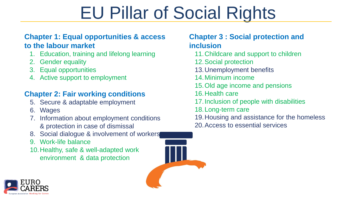# EU Pillar of Social Rights

#### **Chapter 1: Equal opportunities & access to the labour market**

- 1. Education, training and lifelong learning
- 2. Gender equality
- 3. Equal opportunities
- 4. Active support to employment

### **Chapter 2: Fair working conditions**

- 5. Secure & adaptable employment
- 6. Wages
- 7. Information about employment conditions & protection in case of dismissal
- 8. Social dialogue & involvement of workers
- 9. Work-life balance
- 10.Healthy, safe & well-adapted work environment & data protection



### **Chapter 3 : Social protection and inclusion**

- 11.Childcare and support to children
- 12.Social protection
- 13.Unemployment benefits
- 14.Minimum income
- 15.Old age income and pensions
- 16.Health care
- 17.Inclusion of people with disabilities
- 18.Long-term care
- 19.Housing and assistance for the homeless
- 20.Access to essential services

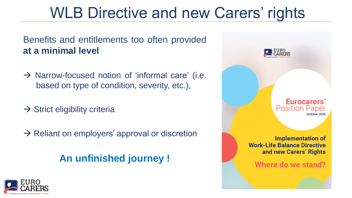### WLB Directive and new Carers' rights

Benefits and entitlements too often provided **at a minimal level**

- $\rightarrow$  Narrow-focused notion of 'informal care' (i.e. based on type of condition, severity, etc.),
- $\rightarrow$  Strict eligibility criteria
- $\rightarrow$  Reliant on employers' approval or discretion

**An unfinished journey !**



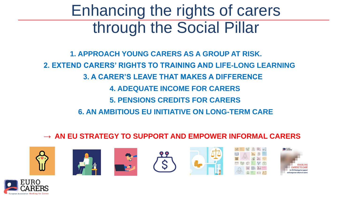### Enhancing the rights of carers through the Social Pillar

**1. APPROACH YOUNG CARERS AS A GROUP AT RISK. 2. EXTEND CARERS' RIGHTS TO TRAINING AND LIFE-LONG LEARNING 3. A CARER'S LEAVE THAT MAKES A DIFFERENCE 4. ADEQUATE INCOME FOR CARERS 5. PENSIONS CREDITS FOR CARERS 6. AN AMBITIOUS EU INITIATIVE ON LONG-TERM CARE**

#### **→ AN EU STRATEGY TO SUPPORT AND EMPOWER INFORMAL CARERS**















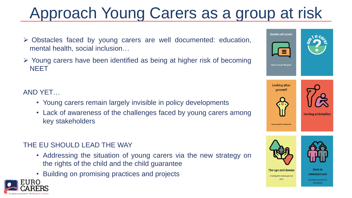## Approach Young Carers as a group at risk

- ➢ Obstacles faced by young carers are well documented: education, mental health, social inclusion…
- ➢ Young carers have been identified as being at higher risk of becoming **NEET**

AND YET…

- Young carers remain largely invisible in policy developments
- Lack of awareness of the challenges faced by young carers among key stakeholders

#### THE EU SHOULD LEAD THE WAY

- Addressing the situation of young carers via the new strategy on the rights of the child and the child guarantee
- Building on promising practices and projects